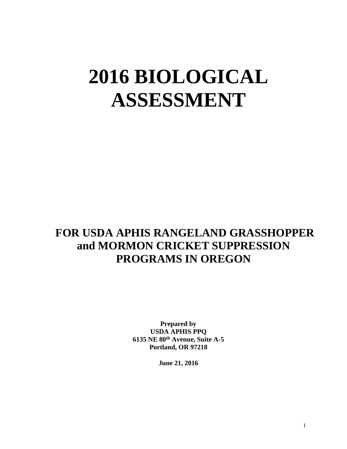# **2016 BIOLOGICAL ASSESSMENT**

## **FOR USDA APHIS RANGELAND GRASSHOPPER and MORMON CRICKET SUPPRESSION PROGRAMS IN OREGON**

**Prepared by USDA APHIS PPQ 6135 NE 80th Avenue, Suite A-5 Portland, OR 97218**

**June 21, 2016**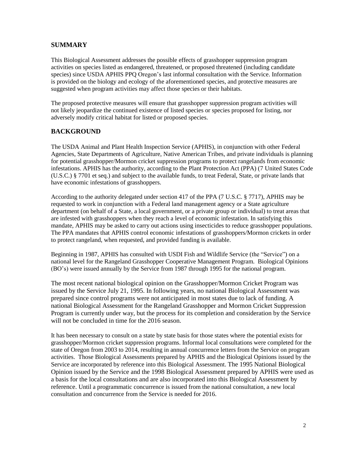#### **SUMMARY**

This Biological Assessment addresses the possible effects of grasshopper suppression program activities on species listed as endangered, threatened, or proposed threatened (including candidate species) since USDA APHIS PPQ Oregon's last informal consultation with the Service. Information is provided on the biology and ecology of the aforementioned species, and protective measures are suggested when program activities may affect those species or their habitats.

The proposed protective measures will ensure that grasshopper suppression program activities will not likely jeopardize the continued existence of listed species or species proposed for listing, nor adversely modify critical habitat for listed or proposed species.

#### **BACKGROUND**

The USDA Animal and Plant Health Inspection Service (APHIS), in conjunction with other Federal Agencies, State Departments of Agriculture, Native American Tribes, and private individuals is planning for potential grasshopper/Mormon cricket suppression programs to protect rangelands from economic infestations. APHIS has the authority, according to the Plant Protection Act (PPA) (7 United States Code (U.S.C.) § 7701 et seq.) and subject to the available funds, to treat Federal, State, or private lands that have economic infestations of grasshoppers.

According to the authority delegated under section 417 of the PPA (7 U.S.C. § 7717), APHIS may be requested to work in conjunction with a Federal land management agency or a State agriculture department (on behalf of a State, a local government, or a private group or individual) to treat areas that are infested with grasshoppers when they reach a level of economic infestation. In satisfying this mandate, APHIS may be asked to carry out actions using insecticides to reduce grasshopper populations. The PPA mandates that APHIS control economic infestations of grasshoppers/Mormon crickets in order to protect rangeland, when requested, and provided funding is available.

Beginning in 1987, APHIS has consulted with USDI Fish and Wildlife Service (the "Service") on a national level for the Rangeland Grasshopper Cooperative Management Program. Biological Opinions (BO's) were issued annually by the Service from 1987 through 1995 for the national program.

The most recent national biological opinion on the Grasshopper/Mormon Cricket Program was issued by the Service July 21, 1995. In following years, no national Biological Assessment was prepared since control programs were not anticipated in most states due to lack of funding. A national Biological Assessment for the Rangeland Grasshopper and Mormon Cricket Suppression Program is currently under way, but the process for its completion and consideration by the Service will not be concluded in time for the 2016 season.

It has been necessary to consult on a state by state basis for those states where the potential exists for grasshopper/Mormon cricket suppression programs. Informal local consultations were completed for the state of Oregon from 2003 to 2014, resulting in annual concurrence letters from the Service on program activities. Those Biological Assessments prepared by APHIS and the Biological Opinions issued by the Service are incorporated by reference into this Biological Assessment. The 1995 National Biological Opinion issued by the Service and the 1998 Biological Assessment prepared by APHIS were used as a basis for the local consultations and are also incorporated into this Biological Assessment by reference. Until a programmatic concurrence is issued from the national consultation, a new local consultation and concurrence from the Service is needed for 2016.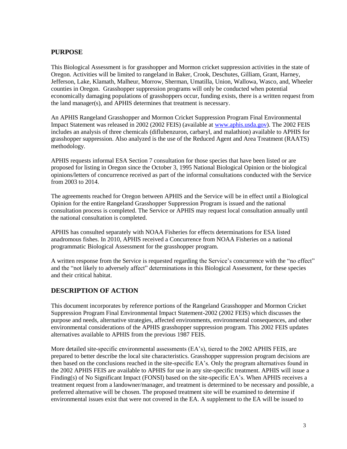#### **PURPOSE**

This Biological Assessment is for grasshopper and Mormon cricket suppression activities in the state of Oregon. Activities will be limited to rangeland in Baker, Crook, Deschutes, Gilliam, Grant, Harney, Jefferson, Lake, Klamath, Malheur, Morrow, Sherman, Umatilla, Union, Wallowa, Wasco, and, Wheeler counties in Oregon. Grasshopper suppression programs will only be conducted when potential economically damaging populations of grasshoppers occur, funding exists, there is a written request from the land manager(s), and APHIS determines that treatment is necessary.

An APHIS Rangeland Grasshopper and Mormon Cricket Suppression Program Final Environmental Impact Statement was released in 2002 (2002 FEIS) (available at [www.aphis.usda.gov\)](http://www.aphis.usda.gov/). The 2002 FEIS includes an analysis of three chemicals (diflubenzuron, carbaryl, and malathion) available to APHIS for grasshopper suppression. Also analyzed is the use of the Reduced Agent and Area Treatment (RAATS) methodology.

APHIS requests informal ESA Section 7 consultation for those species that have been listed or are proposed for listing in Oregon since the October 3, 1995 National Biological Opinion or the biological opinions/letters of concurrence received as part of the informal consultations conducted with the Service from 2003 to 2014.

The agreements reached for Oregon between APHIS and the Service will be in effect until a Biological Opinion for the entire Rangeland Grasshopper Suppression Program is issued and the national consultation process is completed. The Service or APHIS may request local consultation annually until the national consultation is completed.

APHIS has consulted separately with NOAA Fisheries for effects determinations for ESA listed anadromous fishes. In 2010, APHIS received a Concurrence from NOAA Fisheries on a national programmatic Biological Assessment for the grasshopper program.

A written response from the Service is requested regarding the Service's concurrence with the "no effect" and the "not likely to adversely affect" determinations in this Biological Assessment, for these species and their critical habitat.

#### **DESCRIPTION OF ACTION**

This document incorporates by reference portions of the Rangeland Grasshopper and Mormon Cricket Suppression Program Final Environmental Impact Statement-2002 (2002 FEIS) which discusses the purpose and needs, alternative strategies, affected environments, environmental consequences, and other environmental considerations of the APHIS grasshopper suppression program. This 2002 FEIS updates alternatives available to APHIS from the previous 1987 FEIS.

More detailed site-specific environmental assessments (EA's), tiered to the 2002 APHIS FEIS, are prepared to better describe the local site characteristics. Grasshopper suppression program decisions are then based on the conclusions reached in the site-specific EA's. Only the program alternatives found in the 2002 APHIS FEIS are available to APHIS for use in any site-specific treatment. APHIS will issue a Finding(s) of No Significant Impact (FONSI) based on the site-specific EA's. When APHIS receives a treatment request from a landowner/manager, and treatment is determined to be necessary and possible, a preferred alternative will be chosen. The proposed treatment site will be examined to determine if environmental issues exist that were not covered in the EA. A supplement to the EA will be issued to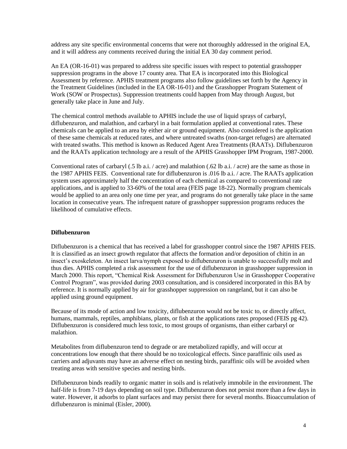address any site specific environmental concerns that were not thoroughly addressed in the original EA, and it will address any comments received during the initial EA 30 day comment period.

An EA (OR-16-01) was prepared to address site specific issues with respect to potential grasshopper suppression programs in the above 17 county area. That EA is incorporated into this Biological Assessment by reference. APHIS treatment programs also follow guidelines set forth by the Agency in the Treatment Guidelines (included in the EA OR-16-01) and the Grasshopper Program Statement of Work (SOW or Prospectus). Suppression treatments could happen from May through August, but generally take place in June and July.

The chemical control methods available to APHIS include the use of liquid sprays of carbaryl, diflubenzuron, and malathion, and carbaryl in a bait formulation applied at conventional rates. These chemicals can be applied to an area by either air or ground equipment. Also considered is the application of these same chemicals at reduced rates, and where untreated swaths (non-target refuges) are alternated with treated swaths. This method is known as Reduced Agent Area Treatments (RAATs). Diflubenzuron and the RAATs application technology are a result of the APHIS Grasshopper IPM Program, 1987-2000.

Conventional rates of carbaryl (.5 lb a.i. / acre) and malathion (.62 lb a.i. / acre) are the same as those in the 1987 APHIS FEIS. Conventional rate for diflubenzuron is .016 lb a.i. / acre. The RAATs application system uses approximately half the concentration of each chemical as compared to conventional rate applications, and is applied to 33-60% of the total area (FEIS page 18-22). Normally program chemicals would be applied to an area only one time per year, and programs do not generally take place in the same location in consecutive years. The infrequent nature of grasshopper suppression programs reduces the likelihood of cumulative effects.

#### **Diflubenzuron**

Diflubenzuron is a chemical that has received a label for grasshopper control since the 1987 APHIS FEIS. It is classified as an insect growth regulator that affects the formation and/or deposition of chitin in an insect's exoskeleton. An insect larva/nymph exposed to diflubenzuron is unable to successfully molt and thus dies. APHIS completed a risk assessment for the use of diflubenzuron in grasshopper suppression in March 2000. This report, "Chemical Risk Assessment for Diflubenzuron Use in Grasshopper Cooperative Control Program", was provided during 2003 consultation, and is considered incorporated in this BA by reference. It is normally applied by air for grasshopper suppression on rangeland, but it can also be applied using ground equipment.

Because of its mode of action and low toxicity, diflubenzuron would not be toxic to, or directly affect, humans, mammals, reptiles, amphibians, plants, or fish at the applications rates proposed (FEIS pg 42). Diflubenzuron is considered much less toxic, to most groups of organisms, than either carbaryl or malathion.

Metabolites from diflubenzuron tend to degrade or are metabolized rapidly, and will occur at concentrations low enough that there should be no toxicological effects. Since paraffinic oils used as carriers and adjuvants may have an adverse effect on nesting birds, paraffinic oils will be avoided when treating areas with sensitive species and nesting birds.

Diflubenzuron binds readily to organic matter in soils and is relatively immobile in the environment. The half-life is from 7-19 days depending on soil type. Diflubenzuron does not persist more than a few days in water. However, it adsorbs to plant surfaces and may persist there for several months. Bioaccumulation of diflubenzuron is minimal (Eisler, 2000).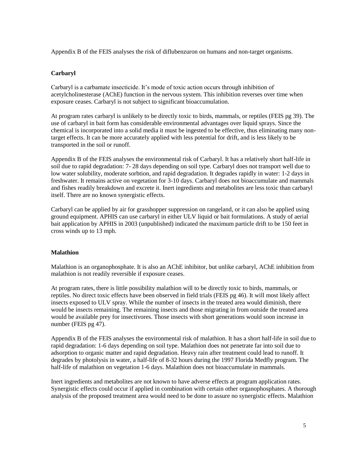Appendix B of the FEIS analyses the risk of diflubenzuron on humans and non-target organisms.

#### **Carbaryl**

Carbaryl is a carbamate insecticide. It's mode of toxic action occurs through inhibition of acetylcholinesterase (AChE) function in the nervous system. This inhibition reverses over time when exposure ceases. Carbaryl is not subject to significant bioaccumulation.

At program rates carbaryl is unlikely to be directly toxic to birds, mammals, or reptiles (FEIS pg 39). The use of carbaryl in bait form has considerable environmental advantages over liquid sprays. Since the chemical is incorporated into a solid media it must be ingested to be effective, thus eliminating many nontarget effects. It can be more accurately applied with less potential for drift, and is less likely to be transported in the soil or runoff.

Appendix B of the FEIS analyses the environmental risk of Carbaryl. It has a relatively short half-life in soil due to rapid degradation: 7- 28 days depending on soil type. Carbaryl does not transport well due to low water solubility, moderate sorbtion, and rapid degradation. It degrades rapidly in water: 1-2 days in freshwater. It remains active on vegetation for 3-10 days. Carbaryl does not bioaccumulate and mammals and fishes readily breakdown and excrete it. Inert ingredients and metabolites are less toxic than carbaryl itself. There are no known synergistic effects.

Carbaryl can be applied by air for grasshopper suppression on rangeland, or it can also be applied using ground equipment. APHIS can use carbaryl in either ULV liquid or bait formulations. A study of aerial bait application by APHIS in 2003 (unpublished) indicated the maximum particle drift to be 150 feet in cross winds up to 13 mph.

#### **Malathion**

Malathion is an organophosphate. It is also an AChE inhibitor, but unlike carbaryl, AChE inhibition from malathion is not readily reversible if exposure ceases.

At program rates, there is little possibility malathion will to be directly toxic to birds, mammals, or reptiles. No direct toxic effects have been observed in field trials (FEIS pg 46). It will most likely affect insects exposed to ULV spray. While the number of insects in the treated area would diminish, there would be insects remaining. The remaining insects and those migrating in from outside the treated area would be available prey for insectivores. Those insects with short generations would soon increase in number (FEIS pg 47).

Appendix B of the FEIS analyses the environmental risk of malathion. It has a short half-life in soil due to rapid degradation: 1-6 days depending on soil type. Malathion does not penetrate far into soil due to adsorption to organic matter and rapid degradation. Heavy rain after treatment could lead to runoff. It degrades by photolysis in water, a half-life of 8-32 hours during the 1997 Florida Medfly program. The half-life of malathion on vegetation 1-6 days. Malathion does not bioaccumulate in mammals.

Inert ingredients and metabolites are not known to have adverse effects at program application rates. Synergistic effects could occur if applied in combination with certain other organophosphates. A thorough analysis of the proposed treatment area would need to be done to assure no synergistic effects. Malathion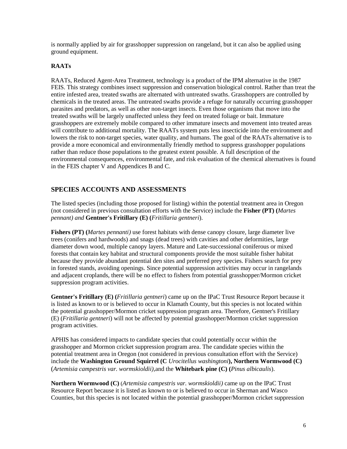is normally applied by air for grasshopper suppression on rangeland, but it can also be applied using ground equipment.

#### **RAATs**

RAATs, Reduced Agent-Area Treatment, technology is a product of the IPM alternative in the 1987 FEIS. This strategy combines insect suppression and conservation biological control. Rather than treat the entire infested area, treated swaths are alternated with untreated swaths. Grasshoppers are controlled by chemicals in the treated areas. The untreated swaths provide a refuge for naturally occurring grasshopper parasites and predators, as well as other non-target insects. Even those organisms that move into the treated swaths will be largely unaffected unless they feed on treated foliage or bait. Immature grasshoppers are extremely mobile compared to other immature insects and movement into treated areas will contribute to additional mortality. The RAATs system puts less insecticide into the environment and lowers the risk to non-target species, water quality, and humans. The goal of the RAATs alternative is to provide a more economical and environmentally friendly method to suppress grasshopper populations rather than reduce those populations to the greatest extent possible. A full description of the environmental consequences, environmental fate, and risk evaluation of the chemical alternatives is found in the FEIS chapter V and Appendices B and C.

#### **SPECIES ACCOUNTS AND ASSESSMENTS**

The listed species (including those proposed for listing) within the potential treatment area in Oregon (not considered in previous consultation efforts with the Service) include the **Fisher (PT) (***Martes pennant) and* **Gentner's Fritillary (E) (***Fritillaria gentneri*).

**Fishers (PT) (***Martes pennanti)* use forest habitats with dense canopy closure, large diameter live trees (conifers and hardwoods) and snags (dead trees) with cavities and other deformities, large diameter down wood, multiple canopy layers. Mature and Late-successional coniferous or mixed forests that contain key habitat and structural components provide the most suitable fisher habitat because they provide abundant potential den sites and preferred prey species. Fishers search for prey in forested stands, avoiding openings. Since potential suppression activities may occur in rangelands and adjacent croplands, there will be no effect to fishers from potential grasshopper/Mormon cricket suppression program activities.

**Gentner's Fritillary (E) (***Fritillaria gentneri*) came up on the IPaC Trust Resource Report because it is listed as known to or is believed to occur in Klamath County, but this species is not located within the potential grasshopper/Mormon cricket suppression program area. Therefore, Gentner's Fritillary (E) (*Fritillaria gentneri*) will not be affected by potential grasshopper/Mormon cricket suppression program activities.

APHIS has considered impacts to candidate species that could potentially occur within the grasshopper and Mormon cricket suppression program area. The candidate species within the potential treatment area in Oregon (not considered in previous consultation effort with the Service) include the **Washington Ground Squirrel (C** *Urocitellus washingtoni***), Northern Wormwood (C)** (*Artemisia campestris var. wormskioldii),*and the **Whitebark pine (C) (***Pinus albicaulis*).

**Northern Wormwood (C)** (*Artemisia campestris var. wormskioldii)* came up on the IPaC Trust Resource Report because it is listed as known to or is believed to occur in Sherman and Wasco Counties, but this species is not located within the potential grasshopper/Mormon cricket suppression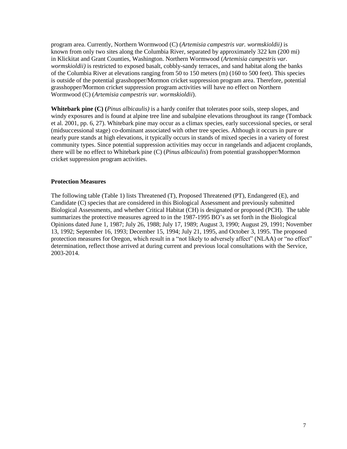program area. Currently, Northern Wormwood (C) (*Artemisia campestris var. wormskioldii)* is known from only two sites along the Columbia River, separated by approximately 322 km (200 mi) in Klickitat and Grant Counties, Washington. Northern Wormwood (*Artemisia campestris var. wormskioldii)* is restricted to exposed basalt, cobbly-sandy terraces, and sand habitat along the banks of the Columbia River at elevations ranging from 50 to 150 meters (m) (160 to 500 feet). This species is outside of the potential grasshopper/Mormon cricket suppression program area. Therefore, potential grasshopper/Mormon cricket suppression program activities will have no effect on Northern Wormwood (C) (*Artemisia campestris var. wormskioldii*).

**Whitebark pine (C) (***Pinus albicaulis)* is a hardy conifer that tolerates poor soils, steep slopes, and windy exposures and is found at alpine tree line and subalpine elevations throughout its range (Tomback et al. 2001, pp. 6, 27). Whitebark pine may occur as a climax species, early successional species, or seral (midsuccessional stage) co-dominant associated with other tree species. Although it occurs in pure or nearly pure stands at high elevations, it typically occurs in stands of mixed species in a variety of forest community types. Since potential suppression activities may occur in rangelands and adjacent croplands, there will be no effect to Whitebark pine (C) (*Pinus albicaulis*) from potential grasshopper/Mormon cricket suppression program activities.

#### **Protection Measures**

The following table (Table 1) lists Threatened (T), Proposed Threatened (PT), Endangered (E), and Candidate (C) species that are considered in this Biological Assessment and previously submitted Biological Assessments, and whether Critical Habitat (CH) is designated or proposed (PCH). The table summarizes the protective measures agreed to in the 1987-1995 BO's as set forth in the Biological Opinions dated June 1, 1987; July 26, 1988; July 17, 1989; August 3, 1990; August 29, 1991; November 13, 1992; September 16, 1993; December 15, 1994; July 21, 1995, and October 3, 1995. The proposed protection measures for Oregon, which result in a "not likely to adversely affect" (NLAA) or "no effect" determination, reflect those arrived at during current and previous local consultations with the Service, 2003-2014.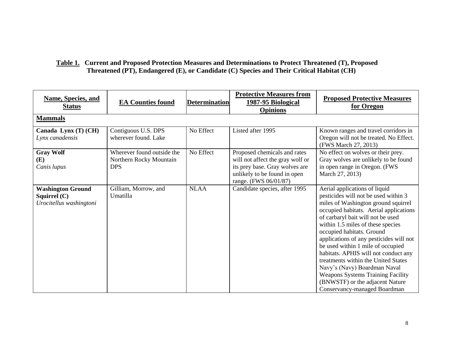### **Table 1. Current and Proposed Protection Measures and Determinations to Protect Threatened (T), Proposed Threatened (PT), Endangered (E), or Candidate (C) Species and Their Critical Habitat (CH)**

| <b>Name, Species, and</b><br><b>Status</b>                            | <b>EA Counties found</b>                                            | <b>Determination</b> | <b>Protective Measures from</b><br>1987-95 Biological<br><b>Opinions</b>                                                                                    | <b>Proposed Protective Measures</b><br>for Oregon                                                                                                                                                                                                                                                                                                                                                                                                                                                                                                                           |
|-----------------------------------------------------------------------|---------------------------------------------------------------------|----------------------|-------------------------------------------------------------------------------------------------------------------------------------------------------------|-----------------------------------------------------------------------------------------------------------------------------------------------------------------------------------------------------------------------------------------------------------------------------------------------------------------------------------------------------------------------------------------------------------------------------------------------------------------------------------------------------------------------------------------------------------------------------|
| <b>Mammals</b>                                                        |                                                                     |                      |                                                                                                                                                             |                                                                                                                                                                                                                                                                                                                                                                                                                                                                                                                                                                             |
| Canada Lynx (T) (CH)<br>Lynx canadensis                               | Contiguous U.S. DPS<br>wherever found. Lake                         | No Effect            | Listed after 1995                                                                                                                                           | Known ranges and travel corridors in<br>Oregon will not be treated. No Effect.<br>(FWS March 27, 2013)                                                                                                                                                                                                                                                                                                                                                                                                                                                                      |
| <b>Gray Wolf</b><br>(E)<br>Canis lupus                                | Wherever found outside the<br>Northern Rocky Mountain<br><b>DPS</b> | No Effect            | Proposed chemicals and rates<br>will not affect the gray wolf or<br>its prey base. Gray wolves are<br>unlikely to be found in open<br>range. (FWS 06/01/87) | No effect on wolves or their prey.<br>Gray wolves are unlikely to be found<br>in open range in Oregon. (FWS<br>March 27, 2013)                                                                                                                                                                                                                                                                                                                                                                                                                                              |
| <b>Washington Ground</b><br>Squirrel $(C)$<br>Urocitellus washingtoni | Gilliam, Morrow, and<br>Umatilla                                    | <b>NLAA</b>          | Candidate species, after 1995                                                                                                                               | Aerial applications of liquid<br>pesticides will not be used within 3<br>miles of Washington ground squirrel<br>occupied habitats. Aerial applications<br>of carbaryl bait will not be used<br>within 1.5 miles of these species<br>occupied habitats. Ground<br>applications of any pesticides will not<br>be used within 1 mile of occupied<br>habitats. APHIS will not conduct any<br>treatments within the United States<br>Navy's (Navy) Boardman Naval<br><b>Weapons Systems Training Facility</b><br>(BNWSTF) or the adjacent Nature<br>Conservancy-managed Boardman |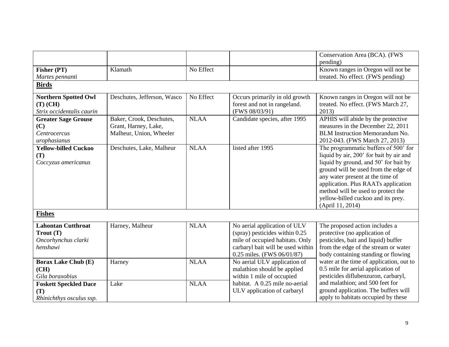|                              |                             |             |                                   | Conservation Area (BCA). (FWS            |  |  |
|------------------------------|-----------------------------|-------------|-----------------------------------|------------------------------------------|--|--|
|                              |                             |             |                                   | pending)                                 |  |  |
| Fisher (PT)                  | Klamath                     | No Effect   |                                   | Known ranges in Oregon will not be       |  |  |
| Martes pennanti              |                             |             |                                   | treated. No effect. (FWS pending)        |  |  |
| <b>Birds</b>                 |                             |             |                                   |                                          |  |  |
| <b>Northern Spotted Owl</b>  | Deschutes, Jefferson, Wasco | No Effect   | Occurs primarily in old growth    | Known ranges in Oregon will not be       |  |  |
| $(T)$ (CH)                   |                             |             | forest and not in rangeland.      | treated. No effect. (FWS March 27,       |  |  |
| Strix occidentalis caurin    |                             |             | (FWS 08/03/91)                    | 2013)                                    |  |  |
| <b>Greater Sage Grouse</b>   | Baker, Crook, Deschutes,    | <b>NLAA</b> | Candidate species, after 1995     | APHIS will abide by the protective       |  |  |
| (C)                          | Grant, Harney, Lake,        |             |                                   | measures in the December 22, 2011        |  |  |
| Centrocercus                 | Malheur, Union, Wheeler     |             |                                   | <b>BLM</b> Instruction Memorandum No.    |  |  |
| urophasianus                 |                             |             |                                   | 2012-043. (FWS March 27, 2013)           |  |  |
| <b>Yellow-billed Cuckoo</b>  | Deschutes, Lake, Malheur    | <b>NLAA</b> | listed after 1995                 | The programmatic buffers of 500' for     |  |  |
| (T)                          |                             |             |                                   | liquid by air, 200' for bait by air and  |  |  |
| Coccyzus americanus          |                             |             |                                   | liquid by ground, and 50' for bait by    |  |  |
|                              |                             |             |                                   | ground will be used from the edge of     |  |  |
|                              |                             |             |                                   | any water present at the time of         |  |  |
|                              |                             |             |                                   | application. Plus RAATs application      |  |  |
|                              |                             |             |                                   | method will be used to protect the       |  |  |
|                              |                             |             |                                   | yellow-billed cuckoo and its prey.       |  |  |
|                              |                             |             |                                   | (April 11, 2014)                         |  |  |
| <b>Fishes</b>                |                             |             |                                   |                                          |  |  |
| <b>Lahontan Cutthroat</b>    | Harney, Malheur             | <b>NLAA</b> | No aerial application of ULV      | The proposed action includes a           |  |  |
| $T_{\text{rout}}(T)$         |                             |             | (spray) pesticides within 0.25    | protective (no application of            |  |  |
| Oncorhynchus clarki          |                             |             | mile of occupied habitats. Only   | pesticides, bait and liquid) buffer      |  |  |
| henshawi                     |                             |             | carbaryl bait will be used within | from the edge of the stream or water     |  |  |
|                              |                             |             | 0.25 miles. (FWS 06/01/87)        | body containing standing or flowing      |  |  |
| <b>Borax Lake Chub (E)</b>   | Harney                      | <b>NLAA</b> | No aerial ULV application of      | water at the time of application, out to |  |  |
| (CH)                         |                             |             | malathion should be applied       | 0.5 mile for aerial application of       |  |  |
| Gila boraxobius              |                             |             | within 1 mile of occupied         | pesticides diflubenzuron, carbaryl,      |  |  |
| <b>Foskett Speckled Dace</b> | Lake                        | <b>NLAA</b> | habitat. A 0.25 mile no-aerial    | and malathion; and 500 feet for          |  |  |
| (T)                          |                             |             | ULV application of carbaryl       | ground application. The buffers will     |  |  |
| Rhinichthys osculus ssp.     |                             |             |                                   | apply to habitats occupied by these      |  |  |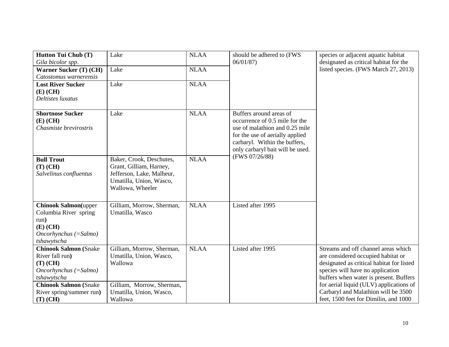| Hutton Tui Chub (T)          | Lake                      | <b>NLAA</b> | should be adhered to (FWS        | species or adjacent aquatic habitat       |
|------------------------------|---------------------------|-------------|----------------------------------|-------------------------------------------|
| Gila bicolor spp.            |                           |             | 06/01/87                         | designated as critical habitat for the    |
| Warner Sucker (T) (CH)       | Lake                      | <b>NLAA</b> |                                  | listed species. (FWS March 27, 2013)      |
| Catostomus warnerensis       |                           |             |                                  |                                           |
| <b>Lost River Sucker</b>     | Lake                      | <b>NLAA</b> |                                  |                                           |
| $(E)$ (CH)                   |                           |             |                                  |                                           |
| Deltistes luxatus            |                           |             |                                  |                                           |
|                              |                           |             |                                  |                                           |
| <b>Shortnose Sucker</b>      | Lake                      | <b>NLAA</b> | Buffers around areas of          |                                           |
| $(E)$ (CH)                   |                           |             | occurrence of 0.5 mile for the   |                                           |
| Chasmiste brevirostris       |                           |             | use of malathion and 0.25 mile   |                                           |
|                              |                           |             | for the use of aerially applied  |                                           |
|                              |                           |             | carbaryl. Within the buffers,    |                                           |
|                              |                           |             | only carbaryl bait will be used. |                                           |
| <b>Bull Trout</b>            | Baker, Crook, Deschutes,  | <b>NLAA</b> | (FWS 07/26/88)                   |                                           |
| $(T)$ (CH)                   | Grant, Gilliam, Harney,   |             |                                  |                                           |
| Salvelinus confluentus       | Jefferson, Lake, Malheur, |             |                                  |                                           |
|                              | Umatilla, Union, Wasco,   |             |                                  |                                           |
|                              | Wallowa, Wheeler          |             |                                  |                                           |
|                              |                           |             |                                  |                                           |
| <b>Chinook Salmon</b> (upper | Gilliam, Morrow, Sherman, | <b>NLAA</b> | Listed after 1995                |                                           |
| Columbia River spring        | Umatilla, Wasco           |             |                                  |                                           |
| run)                         |                           |             |                                  |                                           |
| $(E)$ (CH)                   |                           |             |                                  |                                           |
| $Oncorhynchus (=Salmo)$      |                           |             |                                  |                                           |
| tshawytscha                  |                           |             |                                  |                                           |
| <b>Chinook Salmon (Snake</b> | Gilliam, Morrow, Sherman, | <b>NLAA</b> | Listed after 1995                | Streams and off channel areas which       |
| River fall run)              | Umatilla, Union, Wasco,   |             |                                  | are considered occupied habitat or        |
| $(T)$ (CH)                   | Wallowa                   |             |                                  | designated as critical habitat for listed |
| $Oneorhynchus (=Salmo)$      |                           |             |                                  | species will have no application          |
| tshawytscha                  |                           |             |                                  | buffers when water is present. Buffers    |
| <b>Chinook Salmon (Snake</b> | Gilliam, Morrow, Sherman, |             |                                  | for aerial liquid (ULV) applications of   |
| River spring/summer run)     | Umatilla, Union, Wasco,   |             |                                  | Carbaryl and Malathion will be 3500       |
| $(T)$ (CH)                   | Wallowa                   |             |                                  | feet, 1500 feet for Dimilin, and 1000     |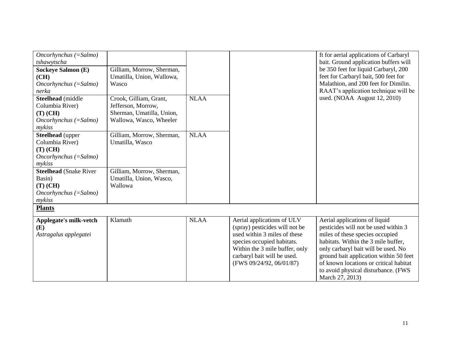| $Oncorhynchus (=Salmo)$<br>tshawytscha<br><b>Sockeye Salmon (E)</b><br>(CH)<br>$Oncorhynchus (=Salmo)$<br>nerka<br>Steelhead (middle<br>Columbia River)<br>$(T)$ (CH)<br>$Oncorhynchus (=Salmo)$      | Gilliam, Morrow, Sherman,<br>Umatilla, Union, Wallowa,<br>Wasco<br>Crook, Gilliam, Grant,<br>Jefferson, Morrow,<br>Sherman, Umatilla, Union,<br>Wallowa, Wasco, Wheeler | <b>NLAA</b> |                                                                                                                                                                                                                         | ft for aerial applications of Carbaryl<br>bait. Ground application buffers will<br>be 350 feet for liquid Carbaryl, 200<br>feet for Carbaryl bait, 500 feet for<br>Malathion, and 200 feet for Dimilin.<br>RAAT's application technique will be<br>used. (NOAA August 12, 2010)                                                      |
|-------------------------------------------------------------------------------------------------------------------------------------------------------------------------------------------------------|-------------------------------------------------------------------------------------------------------------------------------------------------------------------------|-------------|-------------------------------------------------------------------------------------------------------------------------------------------------------------------------------------------------------------------------|--------------------------------------------------------------------------------------------------------------------------------------------------------------------------------------------------------------------------------------------------------------------------------------------------------------------------------------|
| mykiss<br><b>Steelhead</b> (upper<br>Columbia River)<br>$(T)$ (CH)<br>$Oncorhynchus (=Salmo)$<br>mykiss<br><b>Steelhead</b> (Snake River<br>Basin)<br>$(T)$ (CH)<br>$Oncorhynchus (=Salmo)$<br>mykiss | Gilliam, Morrow, Sherman,<br>Umatilla, Wasco<br>Gilliam, Morrow, Sherman,<br>Umatilla, Union, Wasco,<br>Wallowa                                                         | <b>NLAA</b> |                                                                                                                                                                                                                         |                                                                                                                                                                                                                                                                                                                                      |
| <b>Plants</b>                                                                                                                                                                                         |                                                                                                                                                                         |             |                                                                                                                                                                                                                         |                                                                                                                                                                                                                                                                                                                                      |
| Applegate's milk-vetch<br>(E)<br>Astragalus applegatei                                                                                                                                                | Klamath                                                                                                                                                                 | <b>NLAA</b> | Aerial applications of ULV<br>(spray) pesticides will not be<br>used within 3 miles of these<br>species occupied habitats.<br>Within the 3 mile buffer, only<br>carbaryl bait will be used.<br>(FWS 09/24/92, 06/01/87) | Aerial applications of liquid<br>pesticides will not be used within 3<br>miles of these species occupied<br>habitats. Within the 3 mile buffer,<br>only carbaryl bait will be used. No<br>ground bait application within 50 feet<br>of known locations or critical habitat<br>to avoid physical disturbance. (FWS<br>March 27, 2013) |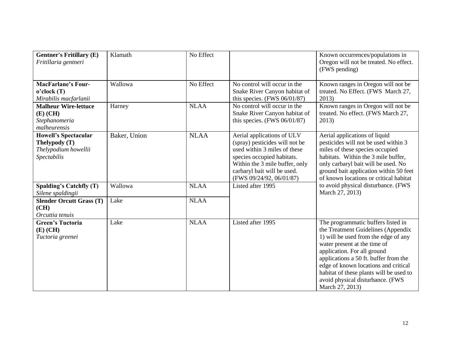| <b>Gentner's Fritillary (E)</b><br>Fritillaria gentneri                                             | Klamath           | No Effect                |                                                                                                                                                                                                                         | Known occurrences/populations in<br>Oregon will not be treated. No effect.<br>(FWS pending)                                                                                                                                                                                                                                                                        |
|-----------------------------------------------------------------------------------------------------|-------------------|--------------------------|-------------------------------------------------------------------------------------------------------------------------------------------------------------------------------------------------------------------------|--------------------------------------------------------------------------------------------------------------------------------------------------------------------------------------------------------------------------------------------------------------------------------------------------------------------------------------------------------------------|
| <b>MacFarlane's Four-</b><br>$o$ 'clock (T)<br>Mirabilis macfarlanii<br><b>Malheur Wire-lettuce</b> | Wallowa<br>Harney | No Effect<br><b>NLAA</b> | No control will occur in the<br>Snake River Canyon habitat of<br>this species. $(FWS 06/01/87)$<br>No control will occur in the                                                                                         | Known ranges in Oregon will not be<br>treated. No Effect. (FWS March 27,<br>2013)<br>Known ranges in Oregon will not be                                                                                                                                                                                                                                            |
| $(E)$ (CH)<br>Stephanomeria<br>malheurensis                                                         |                   |                          | Snake River Canyon habitat of<br>this species. $(FWS 06/01/87)$                                                                                                                                                         | treated. No effect. (FWS March 27,<br>2013)                                                                                                                                                                                                                                                                                                                        |
| <b>Howell's Spectacular</b><br>Thelypody (T)<br>Thelypodium howellii<br>Spectabilis                 | Baker, Union      | <b>NLAA</b>              | Aerial applications of ULV<br>(spray) pesticides will not be<br>used within 3 miles of these<br>species occupied habitats.<br>Within the 3 mile buffer, only<br>carbaryl bait will be used.<br>(FWS 09/24/92, 06/01/87) | Aerial applications of liquid<br>pesticides will not be used within 3<br>miles of these species occupied<br>habitats. Within the 3 mile buffer,<br>only carbaryl bait will be used. No<br>ground bait application within 50 feet<br>of known locations or critical habitat                                                                                         |
| Spalding's Catchfly (T)<br>Silene spaldingii                                                        | Wallowa           | <b>NLAA</b>              | Listed after 1995                                                                                                                                                                                                       | to avoid physical disturbance. (FWS<br>March 27, 2013)                                                                                                                                                                                                                                                                                                             |
| <b>Slender Orcutt Grass (T)</b><br>(CH)<br>Orcuttia tenuis                                          | Lake              | <b>NLAA</b>              |                                                                                                                                                                                                                         |                                                                                                                                                                                                                                                                                                                                                                    |
| <b>Green's Tuctoria</b><br>$(E)$ (CH)<br>Tuctoria greenei                                           | Lake              | <b>NLAA</b>              | Listed after 1995                                                                                                                                                                                                       | The programmatic buffers listed in<br>the Treatment Guidelines (Appendix<br>1) will be used from the edge of any<br>water present at the time of<br>application. For all ground<br>applications a 50 ft. buffer from the<br>edge of known locations and critical<br>habitat of these plants will be used to<br>avoid physical disturbance. (FWS<br>March 27, 2013) |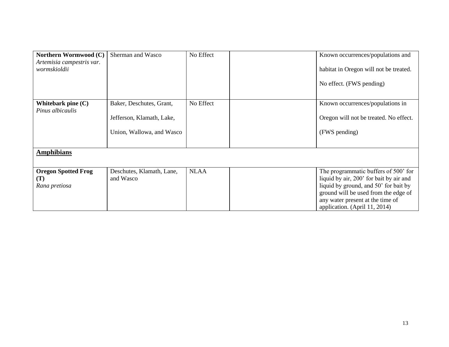| Northern Wormwood (C)      | Sherman and Wasco         | No Effect   | Known occurrences/populations and       |
|----------------------------|---------------------------|-------------|-----------------------------------------|
| Artemisia campestris var.  |                           |             |                                         |
| wormskioldii               |                           |             | habitat in Oregon will not be treated.  |
|                            |                           |             |                                         |
|                            |                           |             | No effect. (FWS pending)                |
|                            |                           |             |                                         |
|                            |                           |             |                                         |
| Whitebark pine $(C)$       | Baker, Deschutes, Grant,  | No Effect   | Known occurrences/populations in        |
| Pinus albicaulis           |                           |             |                                         |
|                            | Jefferson, Klamath, Lake, |             | Oregon will not be treated. No effect.  |
|                            |                           |             |                                         |
|                            | Union, Wallowa, and Wasco |             | (FWS pending)                           |
|                            |                           |             |                                         |
| <b>Amphibians</b>          |                           |             |                                         |
|                            |                           |             |                                         |
|                            |                           |             |                                         |
| <b>Oregon Spotted Frog</b> | Deschutes, Klamath, Lane, | <b>NLAA</b> | The programmatic buffers of 500' for    |
| (T)                        | and Wasco                 |             | liquid by air, 200' for bait by air and |
| Rana pretiosa              |                           |             | liquid by ground, and 50' for bait by   |
|                            |                           |             | ground will be used from the edge of    |
|                            |                           |             | any water present at the time of        |
|                            |                           |             | application. (April 11, 2014)           |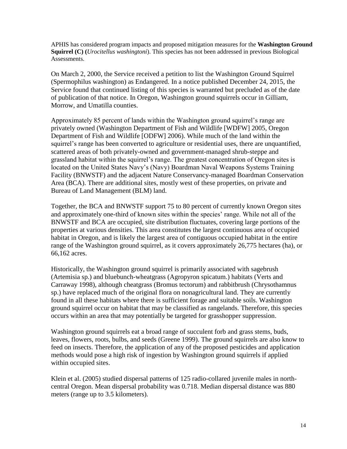APHIS has considered program impacts and proposed mitigation measures for the **Washington Ground Squirrel (C) (***Urocitellus washingtoni*). This species has not been addressed in previous Biological Assessments.

On March 2, 2000, the Service received a petition to list the Washington Ground Squirrel (Spermophilus washington) as Endangered. In a notice published December 24, 2015, the Service found that continued listing of this species is warranted but precluded as of the date of publication of that notice. In Oregon, Washington ground squirrels occur in Gilliam, Morrow, and Umatilla counties.

Approximately 85 percent of lands within the Washington ground squirrel's range are privately owned (Washington Department of Fish and Wildlife [WDFW] 2005, Oregon Department of Fish and Wildlife [ODFW] 2006). While much of the land within the squirrel's range has been converted to agriculture or residential uses, there are unquantified, scattered areas of both privately-owned and government-managed shrub-steppe and grassland habitat within the squirrel's range. The greatest concentration of Oregon sites is located on the United States Navy's (Navy) Boardman Naval Weapons Systems Training Facility (BNWSTF) and the adjacent Nature Conservancy-managed Boardman Conservation Area (BCA). There are additional sites, mostly west of these properties, on private and Bureau of Land Management (BLM) land.

Together, the BCA and BNWSTF support 75 to 80 percent of currently known Oregon sites and approximately one-third of known sites within the species' range. While not all of the BNWSTF and BCA are occupied, site distribution fluctuates, covering large portions of the properties at various densities. This area constitutes the largest continuous area of occupied habitat in Oregon, and is likely the largest area of contiguous occupied habitat in the entire range of the Washington ground squirrel, as it covers approximately 26,775 hectares (ha), or 66,162 acres.

Historically, the Washington ground squirrel is primarily associated with sagebrush (Artemisia sp.) and bluebunch-wheatgrass (Agropyron spicatum.) habitats (Verts and Carraway 1998), although cheatgrass (Bromus tectorum) and rabbitbrush (Chrysothamnus sp.) have replaced much of the original flora on nonagricultural land. They are currently found in all these habitats where there is sufficient forage and suitable soils. Washington ground squirrel occur on habitat that may be classified as rangelands. Therefore, this species occurs within an area that may potentially be targeted for grasshopper suppression.

Washington ground squirrels eat a broad range of succulent forb and grass stems, buds, leaves, flowers, roots, bulbs, and seeds (Greene 1999). The ground squirrels are also know to feed on insects. Therefore, the application of any of the proposed pesticides and application methods would pose a high risk of ingestion by Washington ground squirrels if applied within occupied sites.

Klein et al. (2005) studied dispersal patterns of 125 radio-collared juvenile males in northcentral Oregon. Mean dispersal probability was 0.718. Median dispersal distance was 880 meters (range up to 3.5 kilometers).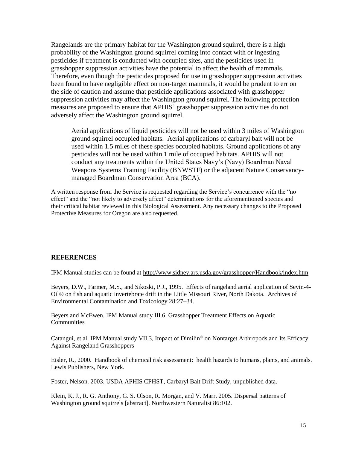Rangelands are the primary habitat for the Washington ground squirrel, there is a high probability of the Washington ground squirrel coming into contact with or ingesting pesticides if treatment is conducted with occupied sites, and the pesticides used in grasshopper suppression activities have the potential to affect the health of mammals. Therefore, even though the pesticides proposed for use in grasshopper suppression activities been found to have negligible effect on non-target mammals, it would be prudent to err on the side of caution and assume that pesticide applications associated with grasshopper suppression activities may affect the Washington ground squirrel. The following protection measures are proposed to ensure that APHIS' grasshopper suppression activities do not adversely affect the Washington ground squirrel.

Aerial applications of liquid pesticides will not be used within 3 miles of Washington ground squirrel occupied habitats. Aerial applications of carbaryl bait will not be used within 1.5 miles of these species occupied habitats. Ground applications of any pesticides will not be used within 1 mile of occupied habitats. APHIS will not conduct any treatments within the United States Navy's (Navy) Boardman Naval Weapons Systems Training Facility (BNWSTF) or the adjacent Nature Conservancymanaged Boardman Conservation Area (BCA).

A written response from the Service is requested regarding the Service's concurrence with the "no effect" and the "not likely to adversely affect" determinations for the aforementioned species and their critical habitat reviewed in this Biological Assessment. Any necessary changes to the Proposed Protective Measures for Oregon are also requested.

#### **REFERENCES**

IPM Manual studies can be found at<http://www.sidney.ars.usda.gov/grasshopper/Handbook/index.htm>

Beyers, D.W., Farmer, M.S., and Sikoski, P.J., 1995. Effects of rangeland aerial application of Sevin-4- Oil® on fish and aquatic invertebrate drift in the Little Missouri River, North Dakota. Archives of Environmental Contamination and Toxicology 28:27–34.

Beyers and McEwen. IPM Manual study III.6, Grasshopper Treatment Effects on Aquatic **Communities** 

Catangui, et al. IPM Manual study VII.3, Impact of Dimilin® [on Nontarget Arthropods and Its Efficacy](http://www.sidney.ars.usda.gov/grasshopper/Handbook/VII/vii_3.htm)  [Against Rangeland Grasshoppers](http://www.sidney.ars.usda.gov/grasshopper/Handbook/VII/vii_3.htm)

Eisler, R., 2000. Handbook of chemical risk assessment: health hazards to humans, plants, and animals. Lewis Publishers, New York.

Foster, Nelson. 2003. USDA APHIS CPHST, Carbaryl Bait Drift Study, unpublished data.

Klein, K. J., R. G. Anthony, G. S. Olson, R. Morgan, and V. Marr. 2005. Dispersal patterns of Washington ground squirrels [abstract]. Northwestern Naturalist 86:102.